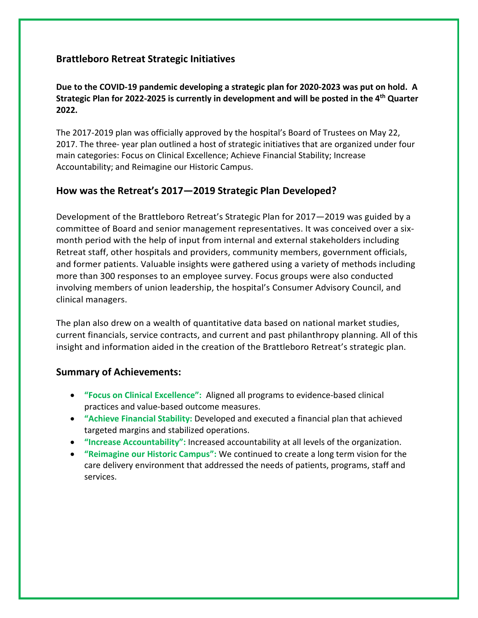# **Brattleboro Retreat Strategic Initiatives**

#### **Due to the COVID-19 pandemic developing a strategic plan for 2020-2023 was put on hold. A Strategic Plan for 2022-2025 is currently in development and will be posted in the 4th Quarter 2022.**

The 2017-2019 plan was officially approved by the hospital's Board of Trustees on May 22, 2017. The three- year plan outlined a host of strategic initiatives that are organized under four main categories: Focus on Clinical Excellence; Achieve Financial Stability; Increase Accountability; and Reimagine our Historic Campus.

# **How was the Retreat's 2017—2019 Strategic Plan Developed?**

Development of the Brattleboro Retreat's Strategic Plan for 2017—2019 was guided by a committee of Board and senior management representatives. It was conceived over a sixmonth period with the help of input from internal and external stakeholders including Retreat staff, other hospitals and providers, community members, government officials, and former patients. Valuable insights were gathered using a variety of methods including more than 300 responses to an employee survey. Focus groups were also conducted involving members of union leadership, the hospital's Consumer Advisory Council, and clinical managers.

The plan also drew on a wealth of quantitative data based on national market studies, current financials, service contracts, and current and past philanthropy planning. All of this insight and information aided in the creation of the Brattleboro Retreat's strategic plan.

### **Summary of Achievements:**

- **"Focus on Clinical Excellence":** Aligned all programs to evidence-based clinical practices and value-based outcome measures.
- **"Achieve Financial Stability:** Developed and executed a financial plan that achieved targeted margins and stabilized operations.
- **"Increase Accountability":** Increased accountability at all levels of the organization.
- **"Reimagine our Historic Campus":** We continued to create a long term vision for the care delivery environment that addressed the needs of patients, programs, staff and services.